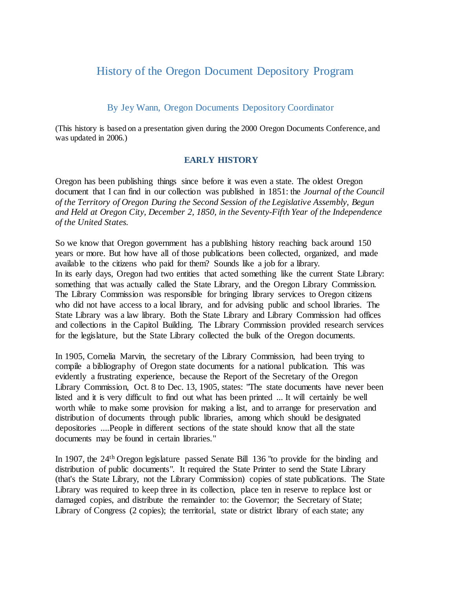# History of the Oregon Document Depository Program

## By Jey Wann, Oregon Documents Depository Coordinator

(This history is based on a presentation given during the 2000 Oregon Documents Conference, and was updated in 2006.)

## **EARLY HISTORY**

Oregon has been publishing things since before it was even a state. The oldest Oregon document that I can find in our collection was published in 1851: the *Journal of the Council of the Territory of Oregon During the Second Session of the Legislative Assembly, Begun and Held at Oregon City, December 2, 1850, in the Seventy-Fifth Year of the Independence of the United States.*

So we know that Oregon government has a publishing history reaching back around 150 years or more. But how have all of those publications been collected, organized, and made available to the citizens who paid for them? Sounds like a job for a library. In its early days, Oregon had two entities that acted something like the current State Library: something that was actually called the State Library, and the Oregon Library Commission. The Library Commission was responsible for bringing library services to Oregon citizens who did not have access to a local library, and for advising public and school libraries. The State Library was a law library. Both the State Library and Library Commission had offices and collections in the Capitol Building. The Library Commission provided research services for the legislature, but the State Library collected the bulk of the Oregon documents.

In 1905, Cornelia Marvin, the secretary of the Library Commission, had been trying to compile a bibliography of Oregon state documents for a national publication. This was evidently a frustrating experience, because the Report of the Secretary of the Oregon Library Commission, Oct. 8 to Dec. 13, 1905, states: "The state documents have never been listed and it is very difficult to find out what has been printed ... It will certainly be well worth while to make some provision for making a list, and to arrange for preservation and distribution of documents through public libraries, among which should be designated depositories ....People in different sections of the state should know that all the state documents may be found in certain libraries."

In 1907, the 24<sup>th</sup> Oregon legislature passed Senate Bill 136 "to provide for the binding and distribution of public documents". It required the State Printer to send the State Library (that's the State Library, not the Library Commission) copies of state publications. The State Library was required to keep three in its collection, place ten in reserve to replace lost or damaged copies, and distribute the remainder to: the Governor; the Secretary of State; Library of Congress (2 copies); the territorial, state or district library of each state; any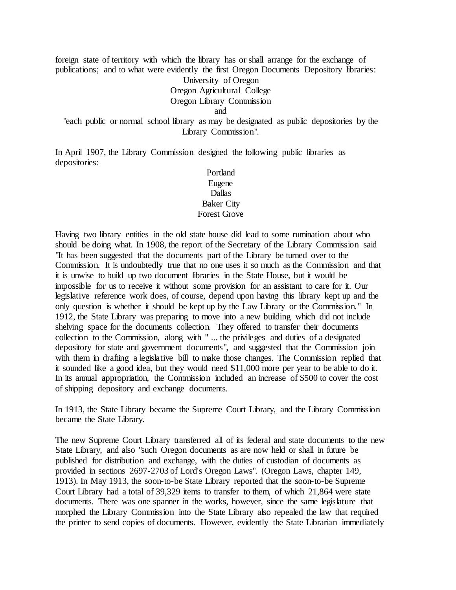foreign state of territory with which the library has or shall arrange for the exchange of publications; and to what were evidently the first Oregon Documents Depository libraries:

> University of Oregon Oregon Agricultural College Oregon Library Commission

> > and

"each public or normal school library as may be designated as public depositories by the Library Commission".

In April 1907, the Library Commission designed the following public libraries as depositories:

## Portland Eugene Dallas Baker City Forest Grove

Having two library entities in the old state house did lead to some rumination about who should be doing what. In 1908, the report of the Secretary of the Library Commission said "It has been suggested that the documents part of the Library be turned over to the Commission. It is undoubtedly true that no one uses it so much as the Commission and that it is unwise to build up two document libraries in the State House, but it would be impossible for us to receive it without some provision for an assistant to care for it. Our legislative reference work does, of course, depend upon having this library kept up and the only question is whether it should be kept up by the Law Library or the Commission." In 1912, the State Library was preparing to move into a new building which did not include shelving space for the documents collection. They offered to transfer their documents collection to the Commission, along with " ... the privileges and duties of a designated depository for state and government documents", and suggested that the Commission join with them in drafting a legislative bill to make those changes. The Commission replied that it sounded like a good idea, but they would need \$11,000 more per year to be able to do it. In its annual appropriation, the Commission included an increase of \$500 to cover the cost of shipping depository and exchange documents.

In 1913, the State Library became the Supreme Court Library, and the Library Commission became the State Library.

The new Supreme Court Library transferred all of its federal and state documents to the new State Library, and also "such Oregon documents as are now held or shall in future be published for distribution and exchange, with the duties of custodian of documents as provided in sections 2697-2703 of Lord's Oregon Laws". (Oregon Laws, chapter 149, 1913). In May 1913, the soon-to-be State Library reported that the soon-to-be Supreme Court Library had a total of 39,329 items to transfer to them, of which 21,864 were state documents. There was one spanner in the works, however, since the same legislature that morphed the Library Commission into the State Library also repealed the law that required the printer to send copies of documents. However, evidently the State Librarian immediately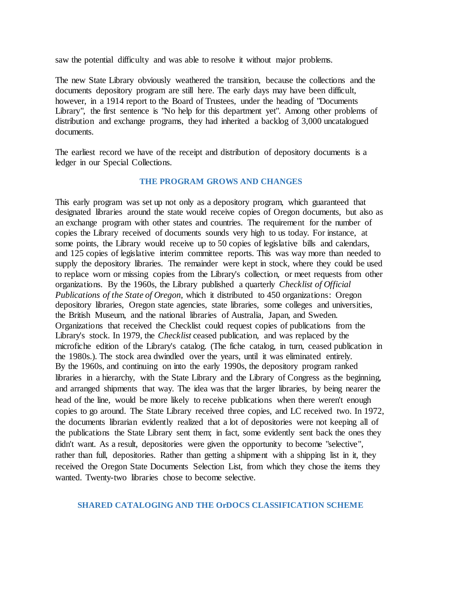saw the potential difficulty and was able to resolve it without major problems.

The new State Library obviously weathered the transition, because the collections and the documents depository program are still here. The early days may have been difficult, however, in a 1914 report to the Board of Trustees, under the heading of "Documents Library", the first sentence is "No help for this department yet". Among other problems of distribution and exchange programs, they had inherited a backlog of 3,000 uncatalogued documents.

The earliest record we have of the receipt and distribution of depository documents is a ledger in our Special Collections.

#### **THE PROGRAM GROWS AND CHANGES**

This early program was set up not only as a depository program, which guaranteed that designated libraries around the state would receive copies of Oregon documents, but also as an exchange program with other states and countries. The requirement for the number of copies the Library received of documents sounds very high to us today. For instance, at some points, the Library would receive up to 50 copies of legislative bills and calendars, and 125 copies of legislative interim committee reports. This was way more than needed to supply the depository libraries. The remainder were kept in stock, where they could be used to replace worn or missing copies from the Library's collection, or meet requests from other organizations. By the 1960s, the Library published a quarterly *Checklist of Official Publications of the State of Oregon*, which it distributed to 450 organizations: Oregon depository libraries, Oregon state agencies, state libraries, some colleges and universities, the British Museum, and the national libraries of Australia, Japan, and Sweden. Organizations that received the Checklist could request copies of publications from the Library's stock. In 1979, the *Checklist* ceased publication, and was replaced by the microfiche edition of the Library's catalog. (The fiche catalog, in turn, ceased publication in the 1980s.). The stock area dwindled over the years, until it was eliminated entirely. By the 1960s, and continuing on into the early 1990s, the depository program ranked libraries in a hierarchy, with the State Library and the Library of Congress as the beginning, and arranged shipments that way. The idea was that the larger libraries, by being nearer the head of the line, would be more likely to receive publications when there weren't enough copies to go around. The State Library received three copies, and LC received two. In 1972, the documents librarian evidently realized that a lot of depositories were not keeping all of the publications the State Library sent them; in fact, some evidently sent back the ones they didn't want. As a result, depositories were given the opportunity to become "selective", rather than full, depositories. Rather than getting a shipment with a shipping list in it, they received the Oregon State Documents Selection List, from which they chose the items they wanted. Twenty-two libraries chose to become selective.

#### **SHARED CATALOGING AND THE OrDOCS CLASSIFICATION SCHEME**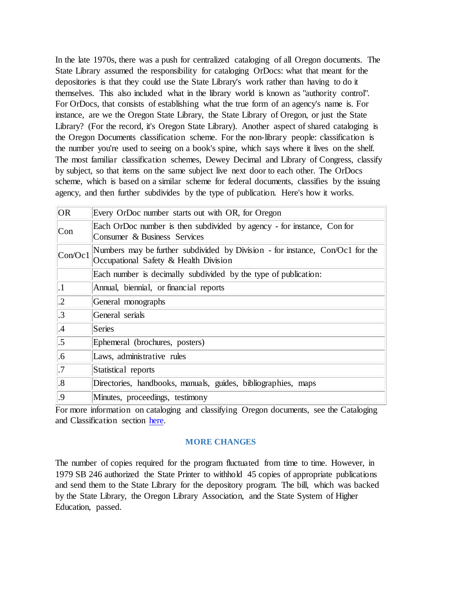In the late 1970s, there was a push for centralized cataloging of all Oregon documents. The State Library assumed the responsibility for cataloging OrDocs: what that meant for the depositories is that they could use the State Library's work rather than having to do it themselves. This also included what in the library world is known as "authority control". For OrDocs, that consists of establishing what the true form of an agency's name is. For instance, are we the Oregon State Library, the State Library of Oregon, or just the State Library? (For the record, it's Oregon State Library). Another aspect of shared cataloging is the Oregon Documents classification scheme. For the non-library people: classification is the number you're used to seeing on a book's spine, which says where it lives on the shelf. The most familiar classification schemes, Dewey Decimal and Library of Congress, classify by subject, so that items on the same subject live next door to each other. The OrDocs scheme, which is based on a similar scheme for federal documents, classifies by the issuing agency, and then further subdivides by the type of publication. Here's how it works.

| <b>OR</b>         | Every OrDoc number starts out with OR, for Oregon                                                                      |
|-------------------|------------------------------------------------------------------------------------------------------------------------|
| Con               | Each OrDoc number is then subdivided by agency - for instance, Con for<br>Consumer & Business Services                 |
| Con/Oc1           | Numbers may be further subdivided by Division - for instance, Con/Oc1 for the<br>Occupational Safety & Health Division |
|                   | Each number is decimally subdivided by the type of publication:                                                        |
| $\cdot$           | Annual, biennial, or financial reports                                                                                 |
| $\cdot$ .2        | General monographs                                                                                                     |
| $\cdot$ 3         | General serials                                                                                                        |
| .4                | <b>Series</b>                                                                                                          |
| $.5\,$            | Ephemeral (brochures, posters)                                                                                         |
| .6                | Laws, administrative rules                                                                                             |
| $\overline{.7}$   | Statistical reports                                                                                                    |
| $\boldsymbol{.8}$ | Directories, handbooks, manuals, guides, bibliographies, maps                                                          |
| .9                | Minutes, proceedings, testimony                                                                                        |

For more information on cataloging and classifying Oregon documents, see the Cataloging and Classification section [here.](https://www.oregon.gov/osl/GRES/Pages/OrDocs.aspx)

## **MORE CHANGES**

The number of copies required for the program fluctuated from time to time. However, in 1979 SB 246 authorized the State Printer to withhold 45 copies of appropriate publications and send them to the State Library for the depository program. The bill, which was backed by the State Library, the Oregon Library Association, and the State System of Higher Education, passed.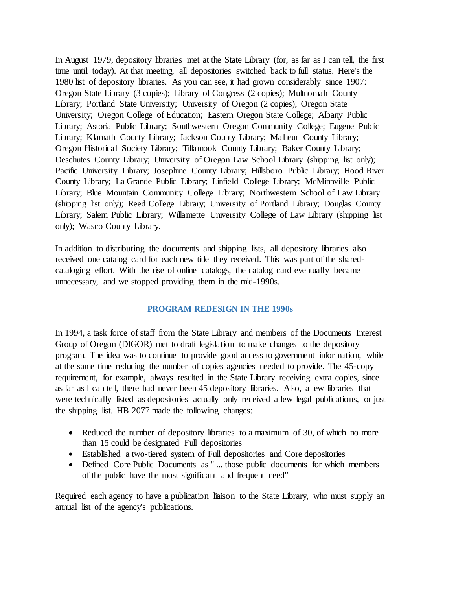In August 1979, depository libraries met at the State Library (for, as far as I can tell, the first time until today). At that meeting, all depositories switched back to full status. Here's the 1980 list of depository libraries. As you can see, it had grown considerably since 1907: Oregon State Library (3 copies); Library of Congress (2 copies); Multnomah County Library; Portland State University; University of Oregon (2 copies); Oregon State University; Oregon College of Education; Eastern Oregon State College; Albany Public Library; Astoria Public Library; Southwestern Oregon Community College; Eugene Public Library; Klamath County Library; Jackson County Library; Malheur County Library; Oregon Historical Society Library; Tillamook County Library; Baker County Library; Deschutes County Library; University of Oregon Law School Library (shipping list only); Pacific University Library; Josephine County Library; Hillsboro Public Library; Hood River County Library; La Grande Public Library; Linfield College Library; McMinnville Public Library; Blue Mountain Community College Library; Northwestern School of Law Library (shipping list only); Reed College Library; University of Portland Library; Douglas County Library; Salem Public Library; Willamette University College of Law Library (shipping list only); Wasco County Library.

In addition to distributing the documents and shipping lists, all depository libraries also received one catalog card for each new title they received. This was part of the sharedcataloging effort. With the rise of online catalogs, the catalog card eventually became unnecessary, and we stopped providing them in the mid-1990s.

### **PROGRAM REDESIGN IN THE 1990s**

In 1994, a task force of staff from the State Library and members of the Documents Interest Group of Oregon (DIGOR) met to draft legislation to make changes to the depository program. The idea was to continue to provide good access to government information, while at the same time reducing the number of copies agencies needed to provide. The 45-copy requirement, for example, always resulted in the State Library receiving extra copies, since as far as I can tell, there had never been 45 depository libraries. Also, a few libraries that were technically listed as depositories actually only received a few legal publications, or just the shipping list. HB 2077 made the following changes:

- Reduced the number of depository libraries to a maximum of 30, of which no more than 15 could be designated Full depositories
- Established a two-tiered system of Full depositories and Core depositories
- Defined Core Public Documents as " ... those public documents for which members of the public have the most significant and frequent need"

Required each agency to have a publication liaison to the State Library, who must supply an annual list of the agency's publications.